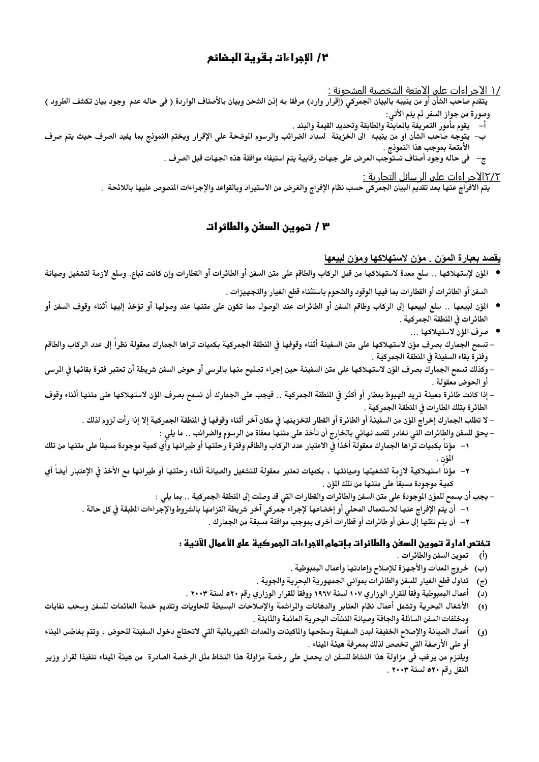# ٢/ الأجراءات بـقريـة البـضائع

/١ الاجر اءات علي الامتعة الشخصية المشحونة :

يتقدم صاحب الشأن أو من ينيبه بالبيان الجمركي (إقرار وارد) مرفقا به إذن الشحن وبيان بالأصناف الواردة ( في حاله عدم وجود بيان تكشف الطرود ) وصورة من جواز السفر ثم يتم الأتى:

- أ– يقوم مأْمور التعريفة بالماينّة والطابقة وتحديد القيمة والبند .
- ب– يتوجه صاحب الشأن او من ينيبه الى الخزينة السداد الضرائب والرسوم الوضحة على الإقرار ويختم النموذج بما يفيد الصرف حيث يتم صرف الأمتعة بموجب هذا النموذج .
	- ج– في حاله وجود أصناف تستوَّجب العرض على جهات رقابية يتم استيفاء موافقة هذه الجهات قبل الصرف .

<u> ١٢/٢الاجر اءات علي الرسائل التجارية :</u>

يتم الافراج عنها بعد تقديم البيان الجمركي حسب نظام الإفراج والغرض من الاستيراد وبالقواعد والإجراءات النصوص عليها باللائحة .

## ٣ / تموين السفن والطائرات

#### يقصد بعبارة المون . مون لاستهلاكها ومون لبيعها

- للؤن لإستهلاكها .. سلع معدة لاستهلاكها من قبل الركاب والطاقم على متن السفن أو الطائرات أو القطارات وإن كانت تباع. وسلع لازمة لتشغيل وصيانة السفن أو الطائرات أو القطارات بما فيها الوقود والشحوم باستثناء قطع الغيار والتجهيزات .
- المؤن لبيعها .. سلع لبيعها إلى الركاب وطاقم السفن أو الطائرات عند الوصول مما تكون على متنها عند وصولها أو تؤخذ إليها أثناء وقوف السفن أو الطائرات في المنطقة الجمركية .
	- صرف المؤن لاستهلاكها ...
- تسمح الجمارك بصر ف مؤن لاستهلاكها على متن السفينة أثناء وقوفها في النطقة الجمركية بكميات تراها الجمارك معقولة نظراً إلى عدد الركاب والطاقم وفترة بقاء السفينة في المنطقة الجمركية .
- وكذلك تسمح الجمارك بصرف الؤن لاستهلاكها على متن السفينة حين إجراء تصليح منها بالمرسى أو حوض السفن شريطة أن تعتبر فترة بقائها في المرسى أو الحوض معقولة .
- إذا كانت طائرة معينة تريد الهبوط بمطار أو أكثر فى النطقة الجمركية .. فيجب على الجمارك أن تسمح بصرف الؤن لاستهلاكها على متنها أثناء وقوف الطائرة بتلك المطارات في المنطقة الجمركية .
	- لا تطلب الجمارك إخراج المؤن من السفينة أو الطائرة أو القطار لتخزينها في مكان آخر أثناء وقوفها في النطقة الجمركية إلا إذا رأت لزوم لذلك .
		- يحق للسفن والطائرات التى تغادر لقصد نهائى بالخارج أن تأخذ على متنها معفاة من الرسوم والضرائب .. ما يلي :
- ١– مؤنـاً بكميات تراها الجمارك معقولة أخذاً في الاعتبار عدد الركاب والطاقم وفترة رحلتها أو طيرانها وأي كمية موجودة مسبقاً على متنها من تلك المؤن .
- ٢– مؤناً استهلاكية لازمة لتشغيلها وصيانتها ، بكميات تعتبر معقولة للتشغيل والصيانة أثناء رحلتها أو طيرانها مع الأخذ فى الإعتبار أيضاً أي كمية موجودة مسبقا على متنها من تلك المؤن .
	- يجب أن يسمح للمؤن الموجودة على متن السفن والطائرات والقطارات التي قد وصلت إلى المنطقة الجمركية .. بما يلي :
	- ١– أن يتم الإفراج عنها للاستعمال المحلي أو إخضاعها لإجراء جمركي آخر شريطة التزامها بالشروط والإجراءات الطبقة فى كل حالة .
		- ٢– أن يتم نقلها إلى سفن أو طائرات أو قطارات أخرى بموجب موافقة مسبقة من الجمارك .

#### تــفتـص ادارة تــمويـن السفـن والطائرات بـإتـمام الاجراءات الجمركيـة على الأعمال الآتـيـة :

- (أ) تموين السفن والطائرات .
- (ب) خروج المدات والأجهزة للإصلاح وإعادتها وأعمال البمبوطية .
- تداول قطع الغيار للسفن والطائرات بمواني الجمهورية البحرية والجوية .  $\left( \mathbf{r} \right)$
- أعمال البمبوطية وفقاً للقرار الوزاري ١٠٧ لسنة ١٩٦٧ ووفقاً للقرار الوزاري رقم ٥٢٠ لسنة ٢٠٠٣ .  $(\iota)$
- الأشغال البحرية وتشمل أعمال نظام العنابر والدهانات والراشمة والإصلاحات البسيطة للحاويات وتقديم خدمة العائمات للسفن وسحب نفايات  $(0)$ ومخلفات السفن السائلة والجافة وصيانة المنشآت البحرية العائمة والثابتة .
- أعمال الصيانة والإصلاح الخفيفة لبدن السفينة وسطحها والماكينات والمدات الكهربائية التي لاتحتاج دخول السفينة للحوض ، وتتم بغاطس اليناء  $\epsilon$ أو على الأرصفة التي تخصص لذلك بمعرفة هيئة الميناء .

ويلتزم من يرغب في مزاولة هذا النشاط للسفن ان يحصل على رخصة مزاولة هذا النشاط مثل الرخصة الصادرة من هيئة اليناء تنفيذا لقرار وزير النقل رقم ٥٢٠ لسنة ٢٠٠٣ .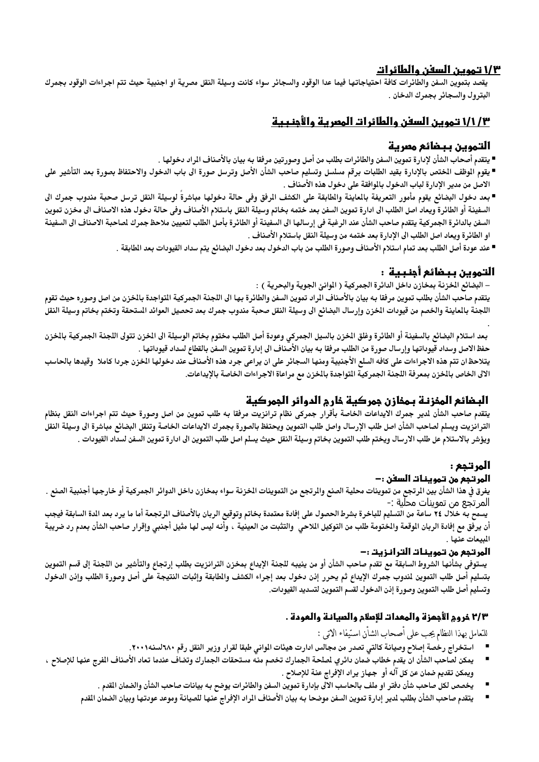## 1/۳ تموين السفن والطائرات

يقصد بتموين السفن والطائرات كافة احتياجاتها فيما عدا الوقود والسجائر سواء كانت وسيلة النقل مصرية او اجنبية حيث تتم اجراءات الوقود بجمرك البترول والسجائر بجمرك الدخان .

# ١/١/٣ تموين السفن والطائرات المعرية والأجنبية

## التموين ببضائع مصرية

- يتقدم أصحاب الشأن لإدارة تموين السفن والطائرات بطلب من أصل وصورتين مرفقا به بيان بالأصناف المراد دخولها .
- يقوم الموظف المختص بالإدارة بقيد الطلبات برقم مسلسل وتسليم صاحب الشأن الأصل وترسل صورة الى باب الدخول والاحتفاظ بصورة بعد التأشير على الاصل من مدير الإدارة لباب الدخول بالموافقة على دخول هذه الأصناف .
- بعد دخول البضائع يقوم مأمور التعريفة بالعاينة والطابقة على الكشف الرفق وفى حالة دخولها مباشرة لوسيلة النقل ترسل صحبة مندوب جمرك الى السفينة أو الطائرة ويعاد اصل الطلب الى ادارة تموين السفن بعد ختمه بخاتم وسيلة النقل باستلام الأصناف وفى حالة دخول هذه الاصناف الى مخزن تموين السفن بالدائرة الجمركية يتقدم صاحب الشأن عند الرغبة في إرسالها الى السفينة أو الطائرة بأصل الطلب لتعيين ملاحظ جمرك لصاحبة الاصناف الى السفينة او الطائرة ويعاد اصل الطلب الى الإدارة بعد ختمه من وسيلة النقل باستلام الأصناف .
	- عند عودة أصل الطلب بعد تمام استلام الأصناف وصورة الطلب من باب الدخول بعد دخول البضائع يتم سداد القيودات بعد الطابقة .

# التموين ببضائع أجنبية :

– البضائع الخزنة بمخازن داخل الدائرة الجمركية ( الموانئ الجوية والبحرية ) :

يتقدم صاحب الشأن بطلب تموين مرفقا به بيان بالأصناف الراد تموين السفن والطائرة بها الى اللجنة الجمركية التواجدة بالخزن من اصل وصوره حيث تقوم اللجنة بالماينة والخصم من قيودات الخزن وإرسال البضائع الى وسيلة النقل صحبة مندوب جمرك بعد تحصيل العوائد الستحقة وتختم بخاتم وسيلة النقل

بعد استلام البضائع بالسفينة أو الطائرة وغلق الخزن بالسيل الجمركي وعودة أصل الطلب مختوم بخاتم الوسيلة الى الخزن تتولى اللجنة الجمركية بالخزن حفظ الاصل وسداد قيوداتها وإرسال صورة من الطلب مرفقا به بيان الأصناف الى إدارة تموين السفن بالقطاع لسداد قيوداتها .

يتلاحظ ان تتم هذه الاجراءات على كافه السلع الأجنبية ومنها السجائر على ان يراعى جرد هذه الأصناف عند دخولها الخزن جردا كاملا وقيدها بالحاسب الالى الخاص بالخزن بمعرفة اللجنة الجمركية التواجدة بالخزن مع مراعاة الاجراءات الخاصة بالإيداعات.

# البـضائع المخزنـة بـمخازن جمركية خارج الدوائر الجمركية

يتقدم صاحب الشأن لدير جمرك الايداعات الخاصة بأقرار جمركى نظام ترانزيت مرفقا به طلب تموين من اصل وصورة حيث تتم اجراءات النقل بنظام الترانزيت ويسلم لصاحب الشأن اصل طلب الإرسال واصل طلب التموين ويحتفظ بالصورة بجمرك الايداعات الخاصة وتنقل البضائع مباشرة الى وسيلة النقل ويؤشر بالاستلام عل طلب الارسال ويختم طلب التموين بخاتم وسيلة النقل حيث يسلم اصل طلب التموين الى ادارة تموين السفن لسداد القيودات .

# المرتجع :

## 1لمرتجع من تموينـ1ت السفن :–

يفرق في هذا الشأن بين الرتجع من تموينات محلية الصنع والرتجع من التموينات الخزنة سواء بمخازن داخل الدوائر الجمركية أو خارجها أجنبية الصنع . المرتجع من تموينات محلية :-

يسمَّح بـه خلال ٢٤ ساعة من التسليم للباخرة بشرط الحصول على إفادة معتمدة بخاتم وتوقيع الربان بالأصناف الرتجعة أما ما يرد بعد الدة السابقة فيجب أن يرفق مع إفادة الربان الموقعة والمختومة طلب من التوكيل اللاحي والتثبت من العينية ، وأنه ليس لها مثيل أجنبي وإقرار صاحب الشأن بعدم رد ضريبة المبيعات عنها .

# المرتجع من تموينات الترانزيت :–

يستوفى بشأنها الشروط السابقة مع تقدم صاحب الشأن أو من ينيبه للجنة الإيداع بمخزن الترانزيت بطلب إرتجاع والتأشير من اللجنة إلى قسم التموين بتسليم أصل طلب التموين لندوب جمرك الإيداع ثم يحرر إذن دخول بعد إجراء الكشف والطابقة وإثبات النتيجة على أصل وصورة الطلب وإذن الدخول وتسليم أصل طلب التموين وصورة إذن الدخول لقسم التموين لتسديد القيودات.

# ٢/٣ خروم الأجمزة والمعدات للإصلام والصيانـة والعودة .

للتعامل بهذا النظام يجب على اصحاب الشان استيفاء الاتبي :

- استخراج رخصة إصلاح وصيانة كالتي تصدر من مجالس ادارت هيئات المواني طبقا لقرار وزير النقل رقم ٦٨٠لسنه٢٠٠١.
- يمكن لصاحب الشأن ان يقدم خطاب ضمان دائري لصلحة الجمارك تخصم منه مستحقات الجمارك وتضاف عندما تعاد الأصناف الفرج عنها للإصلاح ، ويمكن تقديم ضمان عن كل آله أو ۖ جهاز يراد الإفراج عنة للإصلاح .
	- يخصص لكل صاحب شأن دفتر او ملف بالحاسب الالى بإدارة تموين السفن والطائرات يوضح به بيانات صاحب الشأن والضمان القدم .
	- يتقدم صاحب الشأن بطلب لمدير إدارة تموين السفن موضحا به بيان الأصناف المراد الإفراج عنها للصيانة وموعد عودتها وبيان الضمان القدم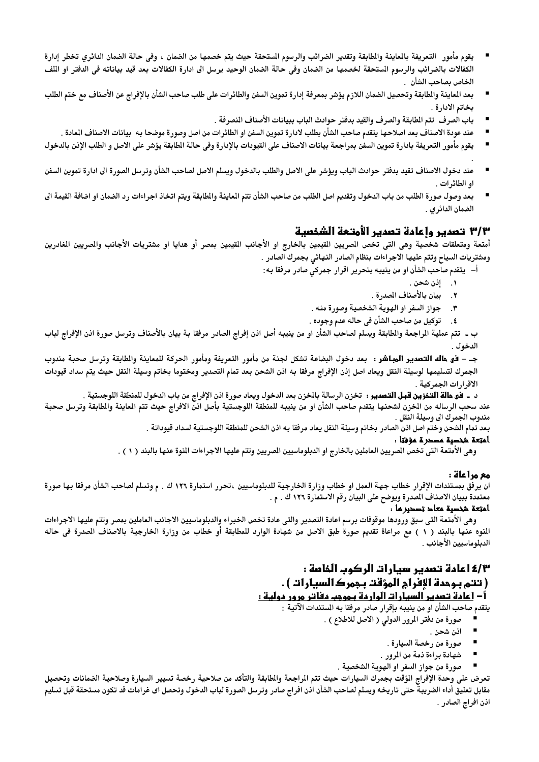- يقوم مأمور التعريفة بالماينة والطابقة وتقدير الضرائب والرسوم المستحقة حيث يتم خصمها من الضمان ، وفي حالة الضمان الدائري تخطر إدارة الكفالات بالضرائب والرسوم المستحقة لخصمها من الضمان وفي حالة الضمان الوحيد يرسل الى ادارة الكفالات بعد قيد بياناته في الدفتر او اللف الخاص بصاحب الشأن .
- بعد العاينة والطابقة وتحصيل الضمان اللازم يؤشر بمعرفة إدارة تموين السفن والطائرات على طلب صاحب الشأن بالإفراج عن الأصناف مع ختم الطلب بخاتم الادارة .
	- باب الصرف تتم الطابقة والصرف والقيد بدفتر حوادث الباب ببيانات الأصناف النصرفة .
	- عند عودة الاصناف بعد اصلاحها يتقدم صاحب الشأن بطلب لادارة تموين السفن او الطائرات من اصل وصورة موضحا به بيانات الاصناف العادة .
- يقوم مأمور التعريفة بادارة تموين السفن بمراجعة بيانات الاصناف على القيودات بالإدارة وفي حالة الطابقة يؤشر على الاصل و الطلب الإذن بالدخول
- عند دخول الاصناف تقيد بدفتر حوادث الباب ويؤشر على الاصل والطلب بالدخول ويسلم الاصل لصاحب الشأن وترسل الصورة الى ادارة تموين السفن p او الطائرات .
- بعد وصول صورة الطلب من باب الدخول وتقديم اصل الطلب من صاحب الشأن تتم الماينة والطابقة ويتم اتخاذ اجراءات رد الضمان او اضافة القيمة الى الضمان الدائري .

#### ٣/٣ تصدير وإعادة تصدير الأمتعة الشخصية

أمتعة ومتعلقات شخصية وهى التي تخص الصريين القيمين بالخارج او الأجانب القيمين بمصر أو هدايا او مشتريات الأجانب والصريين الغادرين ومشتريات السياح وتتم عليها الاجراءات بنظام الصادر النهائي بجمرك الصادر .

أ– يتقدم صاحب الشأن او من ينيبه بتحرير اقرار جمركي صادر مرفقا به :

- ١. إذن شحن .
- ٢. بيان بالأصناف المدرة .
- ٣. حواز السفر او الهوية الشخصية وصورة منه .
- ٤. توكيل من صاحب الشأن في حاله عدم وجوده .

ب ـ تتم عملية الراجعة والطابقة ويسلم لصاحب الشأن او من ينيبه أصل انن إفراج الصادر مرفقا بة بيان بالأصناف وترسل صورة انن الإفراج لباب الدخول .

جـ – **فق هاله التصدير المبـاشر :** بعد دخول البضاعة تشكل لجنة من مأمور التعريفة ومأمور الحركة للمعاينة والطابقة وترسل صحبة مندوب الجمرك لتسليمها لوسيلة النقل ويعاد اصل إنن الإفراج مرفقا به اذن الشحن بعد تمام التصدير ومختوما بخاتم وسيلة النقل حيث يتم سداد قيودات الاقرارات الجمركية .

د ـ فق ه**الة التخزين قبل التصدير** : تخزن الرسالة بالخزن بعد الدخول ويعاد صورة اذن الإفراج من باب الدخول للمنطقة اللوجستية . عند سحب الرساله من الخزن لشحنها يتقدم صاحب الشأن او من ينيبه للمنطقة اللوجستية بأصل اذنّ الافراج حيث تتم الماينة والطابقة وترسل صحبة مندوب الجمرك الى وسيلة النقل .

بعد تمام الشحن وختم اصل انن الصادر بخاتم وسيلة النقل يعاد مرفقا به اذن الشحن للمنطقة اللوجستية لسداد قيوداتة .

#### أمتِعة شخصية مصحرة مؤمّتاً:

وهي الأمتعة التي تخص الصريين العاملين بالخارج او الدبلوماسيين الصريين وتتم عليها الاجراءات النوة عنها بالبند ( ١ ) .

#### مع مراعاة :

ان يرفق بمستندات الإقرار خطاب جهة العمل او خطاب وزارة الخارجية للدبلوماسيين ،تحرر استمارة ١٢٦ ك . م وتسلم لصاحب الشأن مرفقا بها صورة معتمدة ببيان الاصناف الصدرة ويوضح على البيان رقم الاستمارة ١٢٦ ك . م .

#### امتعة شخصية معاد تصدير ما .

وهى الأمتعة التى سبق ورودها موقوفات برسم اعادة التصدير والتى عادة تخص الخبراء والدبلوماسيين الاجانب العاملين بمصر وتتم عليها الاجراءات المنوه عنها بالبند ( ١ ) مع مراعاة تقديم صورة طبق الاصل من شهادة الوارد للمطابقة أو خطاب من وزارة الخارجية بالاصناف الصدرة في حاله الدبلوماسيين الأجانب .

# ٤/٣ اعادة تصدير سيارات الركوب الذامة :

# ( تتم بـوحدة الإفراج المؤقت بـجمرك1لسيار1ت ) .

# أ – إ<u>عادة تصدير السيارات الواردة بـموجب دفاتر مرور دولية :</u>

يتقدم صاحب الشأن او من ينيبه بإقرار صادر مرفقا به المستندات الآتية :

- صورة من دفتر المرور الدولي ( الاصل للاطلاع ) .
	- اذن شحن .
	- $\blacksquare$ صورة من رخصة السيارة .
	- شهادة براءة ذمة من المرور .  $\blacksquare$
	- صورة من جواز السفر او الهوية الشخصية .

تعرض على وحدة الإفراج الؤقت بجمرك السيارات حيث تتم الراجعة والطابقة والتأكد من صلاحية رخصة تسيير السيارة وصلاحية الضمانات وتحصيل مقابل تعليق أداء الضريبة حتى تاريخه ويسلم لصاحب الشأن اذن افراج صادر وترسل الصورة لباب الدخول وتحصل اى غرامات قد تكون مستحقة قبل تسليم اذن افراج الصادر .